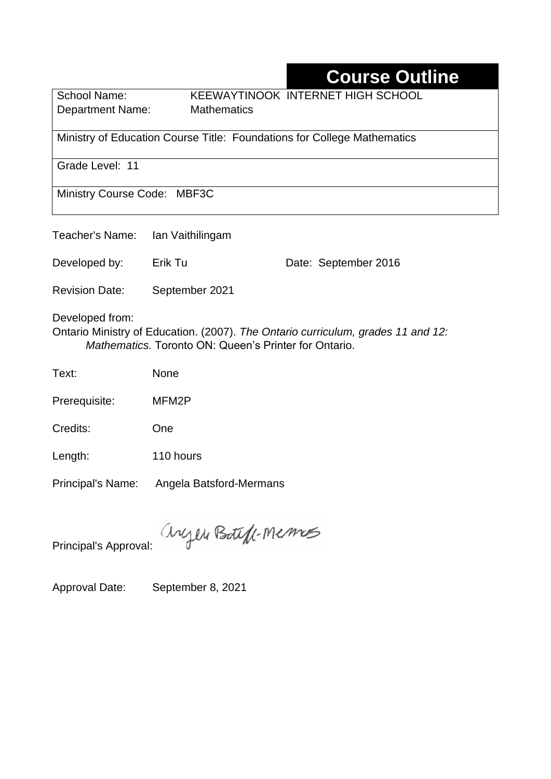# **Course Outline**

Department Name:Mathematics

School Name: KEEWAYTINOOK INTERNET HIGH SCHOOL

Ministry of Education Course Title: Foundations for College Mathematics

Grade Level: 11

Ministry Course Code: MBF3C

| Teacher's Name:                                                                                                                                                     | Ian Vaithilingam |                      |  |  |  |
|---------------------------------------------------------------------------------------------------------------------------------------------------------------------|------------------|----------------------|--|--|--|
| Developed by:                                                                                                                                                       | Erik Tu          | Date: September 2016 |  |  |  |
| <b>Revision Date:</b>                                                                                                                                               | September 2021   |                      |  |  |  |
| Developed from:<br>Ontario Ministry of Education. (2007). The Ontario curriculum, grades 11 and 12:<br><i>Mathematics.</i> Toronto ON: Queen's Printer for Ontario. |                  |                      |  |  |  |
| Text:                                                                                                                                                               | None             |                      |  |  |  |
| Prerequisite:                                                                                                                                                       | MFM2P            |                      |  |  |  |
|                                                                                                                                                                     |                  |                      |  |  |  |

Length: 110 hours

Credits: One

Principal's Name: Angela Batsford-Mermans

anyen Boteft-Memos

Principal's Approval:

Approval Date: September 8, 2021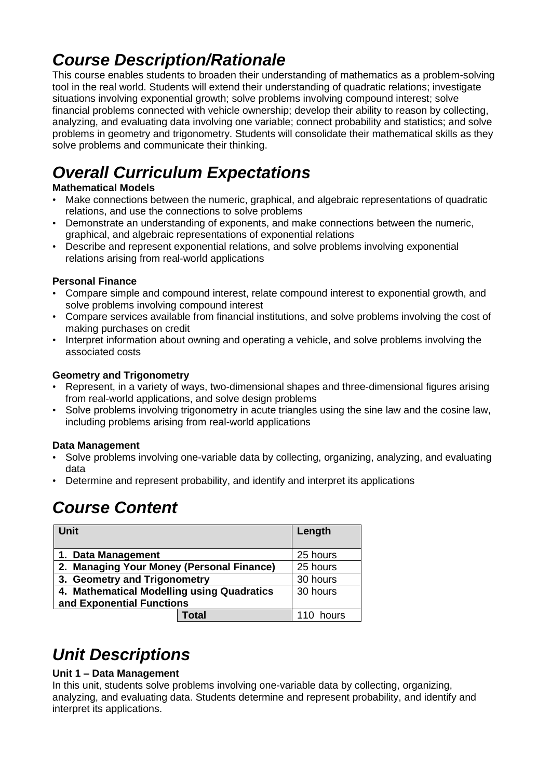## *Course Description/Rationale*

This course enables students to broaden their understanding of mathematics as a problem-solving tool in the real world. Students will extend their understanding of quadratic relations; investigate situations involving exponential growth; solve problems involving compound interest; solve financial problems connected with vehicle ownership; develop their ability to reason by collecting, analyzing, and evaluating data involving one variable; connect probability and statistics; and solve problems in geometry and trigonometry. Students will consolidate their mathematical skills as they solve problems and communicate their thinking.

# *Overall Curriculum Expectations*

#### **Mathematical Models**

- Make connections between the numeric, graphical, and algebraic representations of quadratic relations, and use the connections to solve problems
- Demonstrate an understanding of exponents, and make connections between the numeric, graphical, and algebraic representations of exponential relations
- Describe and represent exponential relations, and solve problems involving exponential relations arising from real-world applications

#### **Personal Finance**

- Compare simple and compound interest, relate compound interest to exponential growth, and solve problems involving compound interest
- Compare services available from financial institutions, and solve problems involving the cost of making purchases on credit
- Interpret information about owning and operating a vehicle, and solve problems involving the associated costs

#### **Geometry and Trigonometry**

- Represent, in a variety of ways, two-dimensional shapes and three-dimensional figures arising from real-world applications, and solve design problems
- Solve problems involving trigonometry in acute triangles using the sine law and the cosine law, including problems arising from real-world applications

#### **Data Management**

- Solve problems involving one-variable data by collecting, organizing, analyzing, and evaluating data
- Determine and represent probability, and identify and interpret its applications

## *Course Content*

| <b>Unit</b>                                | Length   |
|--------------------------------------------|----------|
| 1. Data Management                         | 25 hours |
| 2. Managing Your Money (Personal Finance)  | 25 hours |
| 3. Geometry and Trigonometry               | 30 hours |
| 4. Mathematical Modelling using Quadratics | 30 hours |
| and Exponential Functions                  |          |
| Total                                      | hours    |

## *Unit Descriptions*

#### **Unit 1 – Data Management**

In this unit, students solve problems involving one-variable data by collecting, organizing, analyzing, and evaluating data. Students determine and represent probability, and identify and interpret its applications.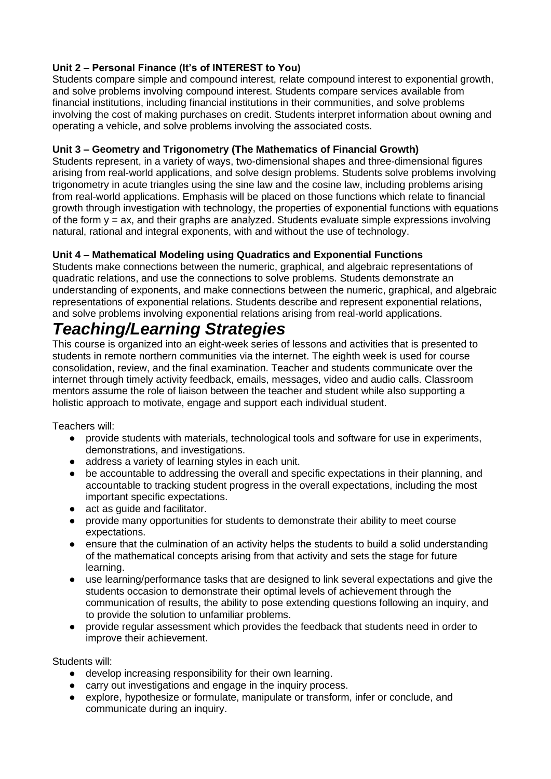#### **Unit 2 – Personal Finance (It's of INTEREST to You)**

Students compare simple and compound interest, relate compound interest to exponential growth, and solve problems involving compound interest. Students compare services available from financial institutions, including financial institutions in their communities, and solve problems involving the cost of making purchases on credit. Students interpret information about owning and operating a vehicle, and solve problems involving the associated costs.

#### **Unit 3 – Geometry and Trigonometry (The Mathematics of Financial Growth)**

Students represent, in a variety of ways, two-dimensional shapes and three-dimensional figures arising from real-world applications, and solve design problems. Students solve problems involving trigonometry in acute triangles using the sine law and the cosine law, including problems arising from real-world applications. Emphasis will be placed on those functions which relate to financial growth through investigation with technology, the properties of exponential functions with equations of the form  $y = ax$ , and their graphs are analyzed. Students evaluate simple expressions involving natural, rational and integral exponents, with and without the use of technology.

#### **Unit 4 – Mathematical Modeling using Quadratics and Exponential Functions**

Students make connections between the numeric, graphical, and algebraic representations of quadratic relations, and use the connections to solve problems. Students demonstrate an understanding of exponents, and make connections between the numeric, graphical, and algebraic representations of exponential relations. Students describe and represent exponential relations, and solve problems involving exponential relations arising from real-world applications.

### *Teaching/Learning Strategies*

This course is organized into an eight-week series of lessons and activities that is presented to students in remote northern communities via the internet. The eighth week is used for course consolidation, review, and the final examination. Teacher and students communicate over the internet through timely activity feedback, emails, messages, video and audio calls. Classroom mentors assume the role of liaison between the teacher and student while also supporting a holistic approach to motivate, engage and support each individual student.

Teachers will:

- provide students with materials, technological tools and software for use in experiments, demonstrations, and investigations.
- address a variety of learning styles in each unit.
- be accountable to addressing the overall and specific expectations in their planning, and accountable to tracking student progress in the overall expectations, including the most important specific expectations.
- act as guide and facilitator.
- provide many opportunities for students to demonstrate their ability to meet course expectations.
- ensure that the culmination of an activity helps the students to build a solid understanding of the mathematical concepts arising from that activity and sets the stage for future learning.
- use learning/performance tasks that are designed to link several expectations and give the students occasion to demonstrate their optimal levels of achievement through the communication of results, the ability to pose extending questions following an inquiry, and to provide the solution to unfamiliar problems.
- provide regular assessment which provides the feedback that students need in order to improve their achievement.

Students will:

- develop increasing responsibility for their own learning.
- carry out investigations and engage in the inquiry process.
- explore, hypothesize or formulate, manipulate or transform, infer or conclude, and communicate during an inquiry.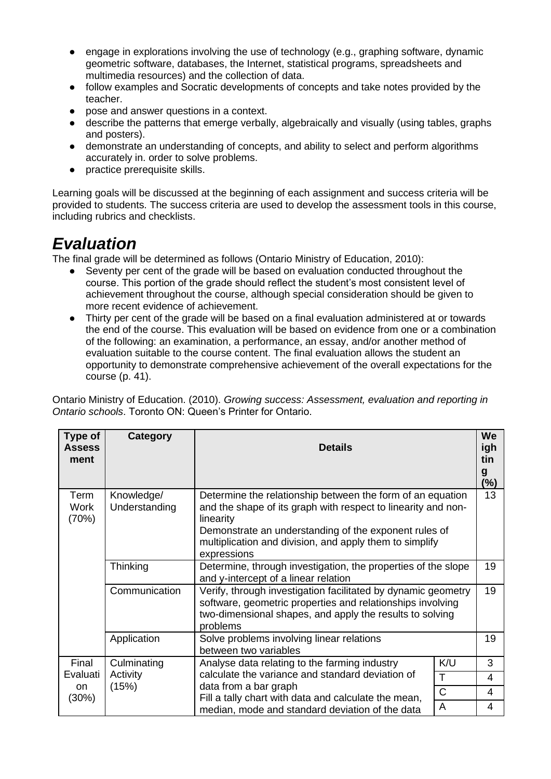- engage in explorations involving the use of technology (e.g., graphing software, dynamic geometric software, databases, the Internet, statistical programs, spreadsheets and multimedia resources) and the collection of data.
- follow examples and Socratic developments of concepts and take notes provided by the teacher.
- pose and answer questions in a context.
- describe the patterns that emerge verbally, algebraically and visually (using tables, graphs and posters).
- demonstrate an understanding of concepts, and ability to select and perform algorithms accurately in. order to solve problems.
- practice prerequisite skills.

Learning goals will be discussed at the beginning of each assignment and success criteria will be provided to students. The success criteria are used to develop the assessment tools in this course, including rubrics and checklists.

### *Evaluation*

The final grade will be determined as follows (Ontario Ministry of Education, 2010):

- Seventy per cent of the grade will be based on evaluation conducted throughout the course. This portion of the grade should reflect the student's most consistent level of achievement throughout the course, although special consideration should be given to more recent evidence of achievement.
- Thirty per cent of the grade will be based on a final evaluation administered at or towards the end of the course. This evaluation will be based on evidence from one or a combination of the following: an examination, a performance, an essay, and/or another method of evaluation suitable to the course content. The final evaluation allows the student an opportunity to demonstrate comprehensive achievement of the overall expectations for the course (p. 41).

Ontario Ministry of Education. (2010). *Growing success: Assessment, evaluation and reporting in Ontario schools*. Toronto ON: Queen's Printer for Ontario.

| Type of<br><b>Assess</b><br>ment | <b>Category</b>                                                                                                                                                                                                                                                                                            | <b>Details</b>                                                                                                                                                                                      |     | We<br>igh<br>tin<br>g<br>$(\%)$ |
|----------------------------------|------------------------------------------------------------------------------------------------------------------------------------------------------------------------------------------------------------------------------------------------------------------------------------------------------------|-----------------------------------------------------------------------------------------------------------------------------------------------------------------------------------------------------|-----|---------------------------------|
| Term<br><b>Work</b><br>(70%)     | Knowledge/<br>Determine the relationship between the form of an equation<br>Understanding<br>and the shape of its graph with respect to linearity and non-<br>linearity<br>Demonstrate an understanding of the exponent rules of<br>multiplication and division, and apply them to simplify<br>expressions |                                                                                                                                                                                                     |     | 13                              |
|                                  | Thinking                                                                                                                                                                                                                                                                                                   | Determine, through investigation, the properties of the slope<br>and y-intercept of a linear relation                                                                                               |     | 19                              |
|                                  | Communication                                                                                                                                                                                                                                                                                              | Verify, through investigation facilitated by dynamic geometry<br>software, geometric properties and relationships involving<br>two-dimensional shapes, and apply the results to solving<br>problems |     | 19                              |
|                                  | Application                                                                                                                                                                                                                                                                                                | Solve problems involving linear relations<br>between two variables                                                                                                                                  |     | 19                              |
| Final                            | Culminating<br>Activity<br>(15%)                                                                                                                                                                                                                                                                           | Analyse data relating to the farming industry                                                                                                                                                       | K/U | 3                               |
| Evaluati                         |                                                                                                                                                                                                                                                                                                            | calculate the variance and standard deviation of<br>T<br>data from a bar graph<br>$\mathsf{C}$<br>Fill a tally chart with data and calculate the mean,                                              |     | 4                               |
| on.<br>$(30\%)$                  |                                                                                                                                                                                                                                                                                                            |                                                                                                                                                                                                     |     | 4                               |
|                                  |                                                                                                                                                                                                                                                                                                            | A<br>median, mode and standard deviation of the data                                                                                                                                                |     | 4                               |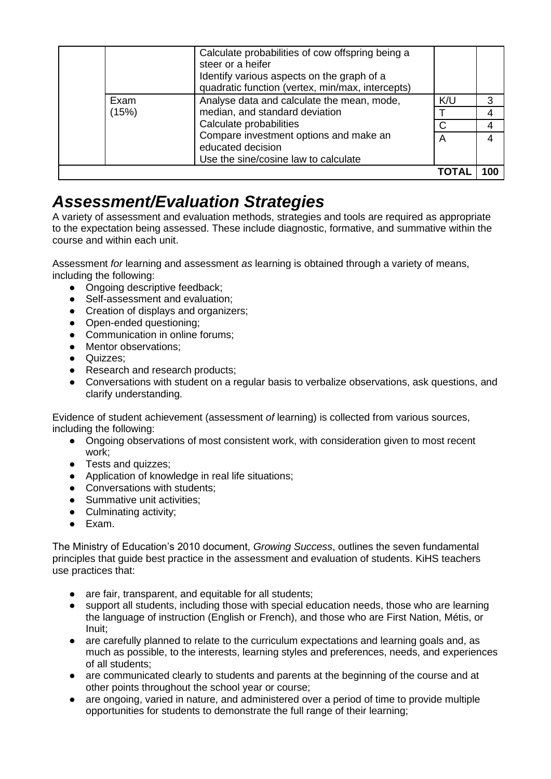|       | Calculate probabilities of cow offspring being a<br>steer or a heifer<br>Identify various aspects on the graph of a<br>quadratic function (vertex, min/max, intercepts) |     |   |
|-------|-------------------------------------------------------------------------------------------------------------------------------------------------------------------------|-----|---|
| Exam  | Analyse data and calculate the mean, mode,                                                                                                                              | K/U | 3 |
| (15%) | median, and standard deviation<br>Calculate probabilities                                                                                                               |     |   |
|       |                                                                                                                                                                         | C   |   |
|       | Compare investment options and make an                                                                                                                                  | A   |   |
|       | educated decision                                                                                                                                                       |     |   |
|       | Use the sine/cosine law to calculate                                                                                                                                    |     |   |
|       |                                                                                                                                                                         |     |   |

### *Assessment/Evaluation Strategies*

A variety of assessment and evaluation methods, strategies and tools are required as appropriate to the expectation being assessed. These include diagnostic, formative, and summative within the course and within each unit.

Assessment *for* learning and assessment *as* learning is obtained through a variety of means, including the following:

- Ongoing descriptive feedback:
- Self-assessment and evaluation:
- Creation of displays and organizers:
- Open-ended questioning;
- Communication in online forums;
- Mentor observations;
- Quizzes;
- Research and research products;
- Conversations with student on a regular basis to verbalize observations, ask questions, and clarify understanding.

Evidence of student achievement (assessment *of* learning) is collected from various sources, including the following:

- Ongoing observations of most consistent work, with consideration given to most recent work;
- Tests and quizzes;
- Application of knowledge in real life situations;
- Conversations with students;
- Summative unit activities;
- Culminating activity;
- Exam.

The Ministry of Education's 2010 document, *Growing Success*, outlines the seven fundamental principles that guide best practice in the assessment and evaluation of students. KiHS teachers use practices that:

- are fair, transparent, and equitable for all students;
- support all students, including those with special education needs, those who are learning the language of instruction (English or French), and those who are First Nation, Métis, or Inuit;
- are carefully planned to relate to the curriculum expectations and learning goals and, as much as possible, to the interests, learning styles and preferences, needs, and experiences of all students;
- are communicated clearly to students and parents at the beginning of the course and at other points throughout the school year or course;
- are ongoing, varied in nature, and administered over a period of time to provide multiple opportunities for students to demonstrate the full range of their learning;